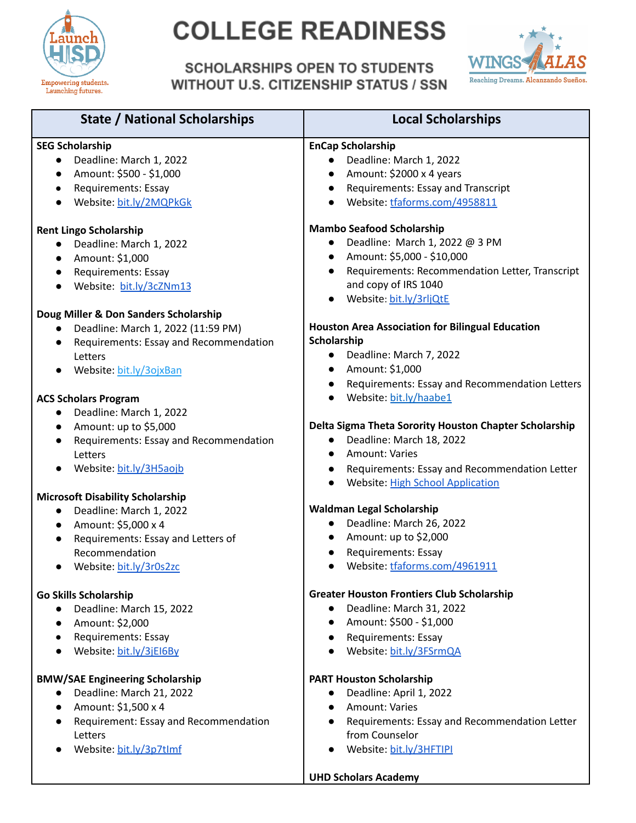

# **COLLEGE READINESS**

**SCHOLARSHIPS OPEN TO STUDENTS WITHOUT U.S. CITIZENSHIP STATUS / SSN** 



| <b>State / National Scholarships</b>               | <b>Local Scholarships</b>                                    |
|----------------------------------------------------|--------------------------------------------------------------|
| <b>SEG Scholarship</b>                             | <b>EnCap Scholarship</b>                                     |
| Deadline: March 1, 2022                            | Deadline: March 1, 2022                                      |
| Amount: \$500 - \$1,000                            | Amount: \$2000 x 4 years                                     |
| Requirements: Essay<br>$\bullet$                   | Requirements: Essay and Transcript<br>$\bullet$              |
| Website: bit.ly/2MQPkGk<br>$\bullet$               | Website: tfaforms.com/4958811<br>$\bullet$                   |
|                                                    |                                                              |
| <b>Rent Lingo Scholarship</b>                      | <b>Mambo Seafood Scholarship</b>                             |
| Deadline: March 1, 2022<br>$\bullet$               | Deadline: March 1, 2022 @ 3 PM                               |
| Amount: \$1,000<br>$\bullet$                       | Amount: \$5,000 - \$10,000<br>$\bullet$                      |
| Requirements: Essay<br>$\bullet$                   | Requirements: Recommendation Letter, Transcript<br>$\bullet$ |
| Website: bit.ly/3cZNm13                            | and copy of IRS 1040                                         |
|                                                    | Website: bit.ly/3rljQtE                                      |
| Doug Miller & Don Sanders Scholarship              |                                                              |
| Deadline: March 1, 2022 (11:59 PM)<br>$\bullet$    | <b>Houston Area Association for Bilingual Education</b>      |
| Requirements: Essay and Recommendation             | Scholarship                                                  |
| Letters                                            | Deadline: March 7, 2022                                      |
| Website: bit.ly/30jxBan                            | Amount: \$1,000<br>$\bullet$                                 |
|                                                    | Requirements: Essay and Recommendation Letters<br>$\bullet$  |
| <b>ACS Scholars Program</b>                        | Website: bit.ly/haabe1                                       |
| Deadline: March 1, 2022<br>$\bullet$               |                                                              |
| Amount: up to \$5,000<br>$\bullet$                 | Delta Sigma Theta Sorority Houston Chapter Scholarship       |
| Requirements: Essay and Recommendation             | Deadline: March 18, 2022<br>$\bullet$                        |
| Letters                                            | <b>Amount: Varies</b>                                        |
| Website: bit.ly/3H5aojb                            | Requirements: Essay and Recommendation Letter<br>$\bullet$   |
|                                                    | <b>Website: High School Application</b>                      |
| <b>Microsoft Disability Scholarship</b>            |                                                              |
| Deadline: March 1, 2022<br>$\bullet$               | Waldman Legal Scholarship                                    |
| Amount: \$5,000 x 4<br>$\bullet$                   | Deadline: March 26, 2022<br>$\bullet$                        |
| Requirements: Essay and Letters of                 | Amount: up to \$2,000<br>$\bullet$                           |
| Recommendation                                     | <b>Requirements: Essay</b>                                   |
| Website: bit.ly/3r0s2zc                            | Website: tfaforms.com/4961911                                |
|                                                    |                                                              |
| <b>Go Skills Scholarship</b>                       | <b>Greater Houston Frontiers Club Scholarship</b>            |
| Deadline: March 15, 2022<br>$\bullet$              | Deadline: March 31, 2022<br>$\bullet$                        |
| Amount: \$2,000<br>$\bullet$                       | Amount: \$500 - \$1,000                                      |
| Requirements: Essay<br>$\bullet$                   | <b>Requirements: Essay</b><br>$\bullet$                      |
| Website: bit.ly/3jEI6By                            | Website: bit.ly/3FSrmQA                                      |
| <b>BMW/SAE Engineering Scholarship</b>             | <b>PART Houston Scholarship</b>                              |
| Deadline: March 21, 2022<br>$\bullet$              | Deadline: April 1, 2022<br>$\bullet$                         |
| Amount: \$1,500 x 4<br>$\bullet$                   | <b>Amount: Varies</b><br>$\bullet$                           |
| Requirement: Essay and Recommendation<br>$\bullet$ | Requirements: Essay and Recommendation Letter                |
| Letters                                            | from Counselor                                               |
| Website: bit.ly/3p7tlmf                            | Website: bit.ly/3HFTIPI                                      |
|                                                    |                                                              |

UHD Scholars Academy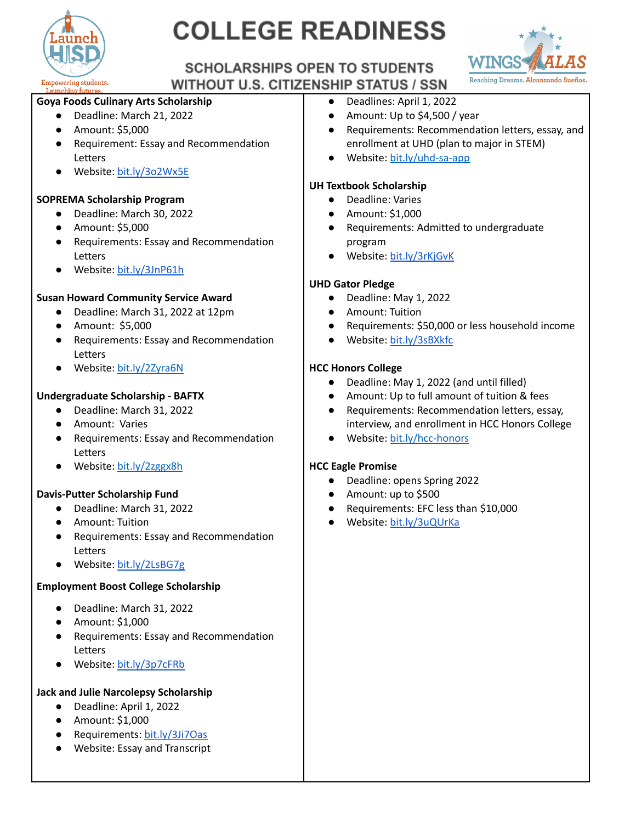

# **COLLEGE READINESS**



### **SCHOLARSHIPS OPEN TO STUDENTS WITHOUT U.S. CITIZENSHIP STATUS / SSN**

#### **Goya Foods Culinary Arts Scholarship**

- Deadline: March 21, 2022
- Amount: \$5,000
- Requirement: Essay and Recommendation Letters
- Website: [bit.ly/3o2Wx5E](https://bit.ly/3o2Wx5E)

#### **SOPREMA Scholarship Program**

- Deadline: March 30, 2022
- Amount: \$5,000
- Requirements: Essay and Recommendation Letters
- Website: [bit.ly/3JnP61h](https://bit.ly/3JnP61h)

#### **Susan Howard Community Service Award**

- Deadline: March 31, 2022 at 12pm
- Amount: \$5,000
- Requirements: Essay and Recommendation Letters
- Website: [bit.ly/2Zyra6N](https://bit.ly/2Zyra6N)

#### **Undergraduate Scholarship - BAFTX**

- Deadline: March 31, 2022
- Amount: Varies
- Requirements: Essay and Recommendation Letters
- **●** Website: [bit.ly/2zggx8h](https://bit.ly/2ZGgX8h)

### **Davis-Putter Scholarship Fund**

- Deadline: March 31, 2022
- Amount: Tuition
- Requirements: Essay and Recommendation Letters
- **●** Website: [bit.ly/2LsBG7g](http://bit.ly/2LsBG7g)

#### **Employment Boost College Scholarship**

- Deadline: March 31, 2022
- Amount: \$1,000
- Requirements: Essay and Recommendation Letters
- Website: [bit.ly/3p7cFRb](https://bit.ly/3p7cFRb)

### **Jack and Julie Narcolepsy Scholarship**

- Deadline: April 1, 2022
- Amount: \$1,000
- Requirements: [bit.ly/3Ji7Oas](https://bit.ly/3Ji7Oas)
- Website: Essay and Transcript
- Deadlines: April 1, 2022
- Amount: Up to \$4,500 / year
- Requirements: Recommendation letters, essay, and enrollment at UHD (plan to major in STEM)
- Website: [bit.ly/uhd-sa-app](https://bit.ly/uhd-sa-app)

#### **UH Textbook Scholarship**

- Deadline: Varies
- Amount: \$1,000
- Requirements: Admitted to undergraduate program
- Website: [bit.ly/3rKjGvK](https://bit.ly/3rKjGvK)

#### **UHD Gator Pledge**

- Deadline: May 1, 2022
- Amount: Tuition
- Requirements: \$50,000 or less household income
- Website: [bit.ly/3sBXkfc](https://bit.ly/3sBXkfc)

#### **HCC Honors College**

- Deadline: May 1, 2022 (and until filled)
- Amount: Up to full amount of tuition & fees
- Requirements: Recommendation letters, essay, interview, and enrollment in HCC Honors College
- Website: [bit.ly/hcc-honors](https://bit.ly/hcc-honors)

#### **HCC Eagle Promise**

- Deadline: opens Spring 2022
- Amount: up to \$500
- Requirements: EFC less than \$10,000
- Website: [bit.ly/3uQUrKa](https://bit.ly/3uQUrKa)